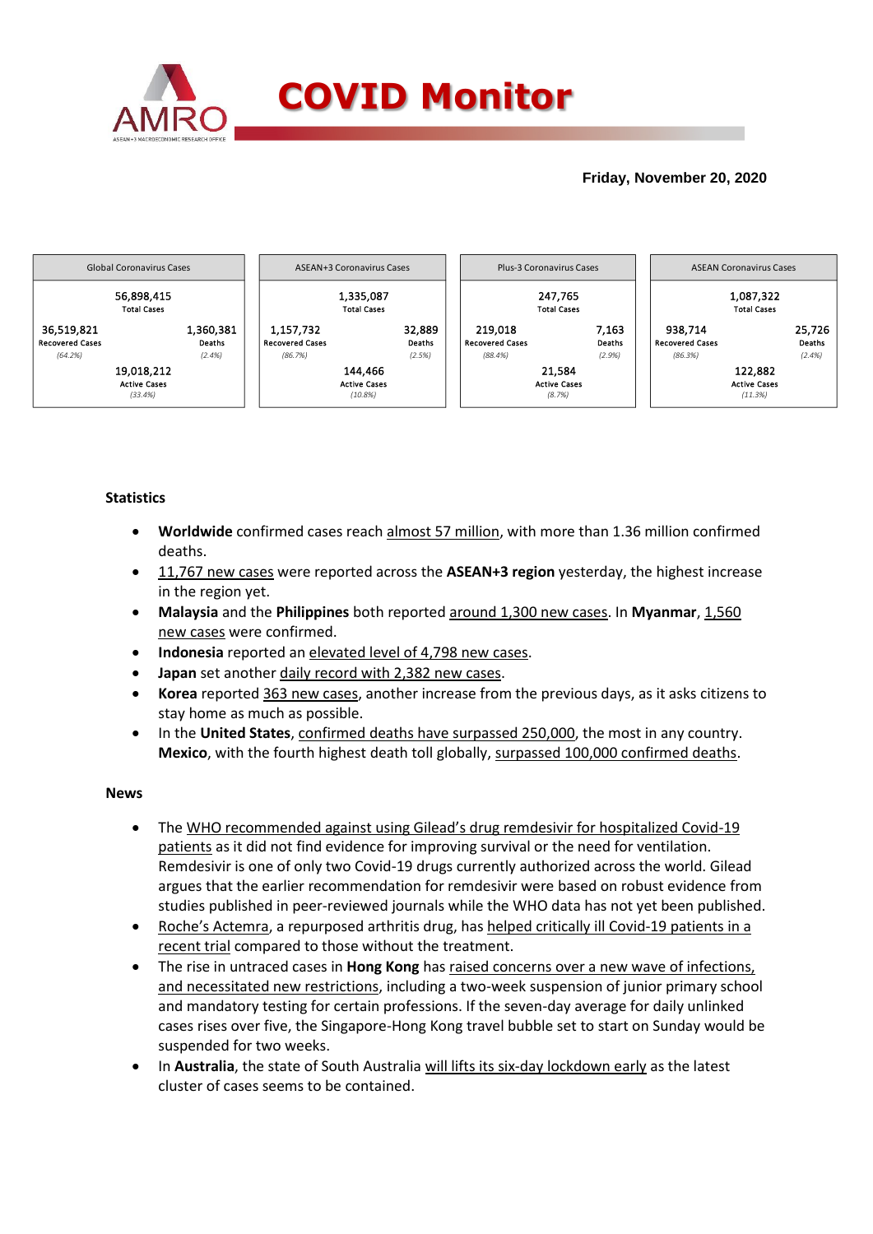

## **Friday, November 20, 2020**



## **Statistics**

- **Worldwide** confirmed cases reach almost 57 million, with more than 1.36 million confirmed deaths.
- 11,767 new cases were reported across the **ASEAN+3 region** yesterday, the highest increase in the region yet.
- **Malaysia** and the **Philippines** both reported around 1,300 new cases. In **Myanmar**, 1,560 new cases were confirmed.
- **Indonesia** reported an elevated level of 4,798 new cases.
- **Japan** set another daily record with 2,382 new cases.
- **Korea** reported 363 new cases, another increase from the previous days, as it asks citizens to stay home as much as possible.
- In the **United States**, confirmed deaths have surpassed 250,000, the most in any country. **Mexico**, with the fourth highest death toll globally, surpassed 100,000 confirmed deaths.

### **News**

- The WHO recommended against using Gilead's drug remdesivir for hospitalized Covid-19 patients as it did not find evidence for improving survival or the need for ventilation. Remdesivir is one of only two Covid-19 drugs currently authorized across the world. Gilead argues that the earlier recommendation for remdesivir were based on robust evidence from studies published in peer-reviewed journals while the WHO data has not yet been published.
- Roche's Actemra, a repurposed arthritis drug, has helped critically ill Covid-19 patients in a recent trial compared to those without the treatment.
- The rise in untraced cases in **Hong Kong** has raised concerns over a new wave of infections, and necessitated new restrictions, including a two-week suspension of junior primary school and mandatory testing for certain professions. If the seven-day average for daily unlinked cases rises over five, the Singapore-Hong Kong travel bubble set to start on Sunday would be suspended for two weeks.
- In **Australia**, the state of South Australia will lifts its six-day lockdown early as the latest cluster of cases seems to be contained.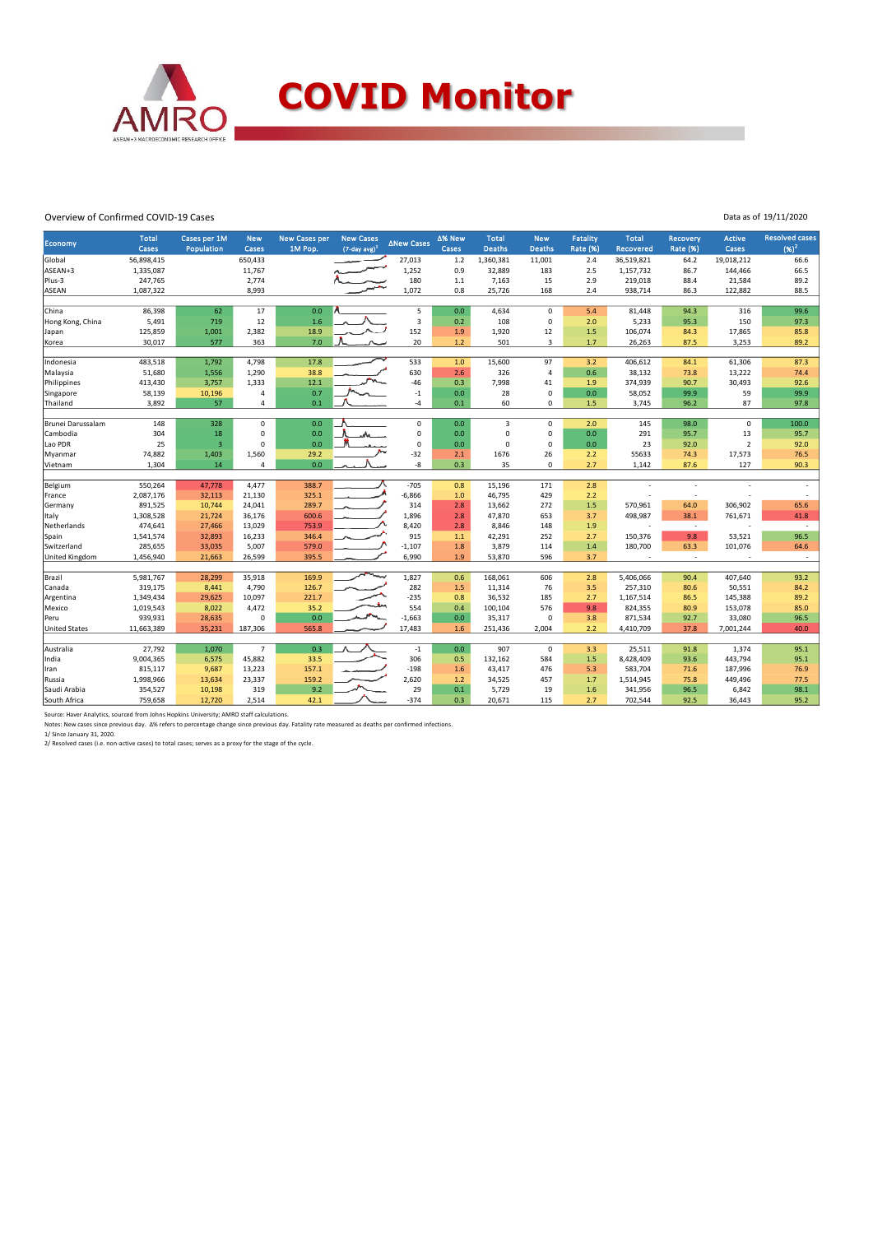

#### Overview of Confirmed COVID-19 Cases

|  |  | Data as of 19/11/2020 |
|--|--|-----------------------|
|  |  |                       |

| Economy               | <b>Total</b><br>Cases | Cases per 1M<br>Population | <b>New</b><br>Cases | <b>New Cases per</b><br>1M Pop. | <b>New Cases</b><br>$(7$ -day avg $)^1$ | <b>ANew Cases</b>       | Δ% New<br>Cases | <b>Total</b><br><b>Deaths</b> | <b>New</b><br><b>Deaths</b> | Fatality<br><b>Rate (%)</b> | <b>Total</b><br><b>Recovered</b> | Recovery<br><b>Rate (%)</b> | Active<br>Cases         | <b>Resolved cases</b><br>$(96)^2$ |
|-----------------------|-----------------------|----------------------------|---------------------|---------------------------------|-----------------------------------------|-------------------------|-----------------|-------------------------------|-----------------------------|-----------------------------|----------------------------------|-----------------------------|-------------------------|-----------------------------------|
| Global                | 56,898,415            |                            | 650,433             |                                 |                                         | 27,013                  | 1.2             | 1,360,381                     | 11,001                      | 2.4                         | 36,519,821                       | 64.2                        | 19,018,212              | 66.6                              |
| ASEAN+3               | 1,335,087             |                            | 11,767              |                                 |                                         | 1,252                   | 0.9             | 32,889                        | 183                         | 2.5                         | 1,157,732                        | 86.7                        | 144,466                 | 66.5                              |
| Plus-3                | 247,765               |                            | 2,774               |                                 |                                         | 180                     | 1.1             | 7,163                         | 15                          | 2.9                         | 219,018                          | 88.4                        | 21,584                  | 89.2                              |
| ASEAN                 | 1,087,322             |                            | 8,993               |                                 |                                         | 1,072                   | 0.8             | 25,726                        | 168                         | 2.4                         | 938,714                          | 86.3                        | 122,882                 | 88.5                              |
|                       |                       |                            |                     |                                 |                                         |                         |                 |                               |                             |                             |                                  |                             |                         |                                   |
| China                 | 86,398                | 62                         | 17                  | 0.0                             |                                         | 5                       | 0.0             | 4,634                         | $\Omega$                    | 5.4                         | 81,448                           | 94.3                        | 316                     | 99.6                              |
| Hong Kong, China      | 5,491                 | 719                        | 12                  | 1.6                             |                                         | $\overline{\mathbf{3}}$ | 0.2             | 108                           | 0                           | 2.0                         | 5,233                            | 95.3                        | 150                     | 97.3                              |
| Japan                 | 125,859               | 1,001                      | 2,382               | 18.9                            |                                         | 152                     | 1.9             | 1,920                         | 12                          | 1.5                         | 106,074                          | 84.3                        | 17,865                  | 85.8                              |
| Korea                 | 30,017                | 577                        | 363                 | 7.0                             |                                         | 20                      | 1.2             | 501                           | $\overline{3}$              | 1.7                         | 26,263                           | 87.5                        | 3,253                   | 89.2                              |
|                       | 483,518               | 1.792                      | 4,798               | 17.8                            |                                         | 533                     | 1.0             | 15,600                        | 97                          | 3.2                         | 406,612                          | 84.1                        | 61,306                  | 87.3                              |
| Indonesia<br>Malaysia | 51,680                | 1,556                      | 1,290               | 38.8                            |                                         | 630                     | 2.6             | 326                           | $\overline{4}$              | 0.6                         | 38,132                           | 73.8                        | 13,222                  | 74.4                              |
| Philippines           | 413,430               | 3,757                      | 1,333               | 12.1                            |                                         | $-46$                   | 0.3             | 7,998                         | 41                          | 1.9                         | 374,939                          | 90.7                        | 30,493                  | 92.6                              |
|                       | 58,139                | 10,196                     | $\overline{4}$      | 0.7                             |                                         | $-1$                    | 0.0             | 28                            | 0                           | 0.0                         | 58,052                           | 99.9                        | 59                      | 99.9                              |
| Singapore<br>Thailand | 3,892                 | 57                         | $\overline{4}$      | 0.1                             |                                         | $-4$                    | 0.1             | 60                            | 0                           | 1.5                         | 3,745                            | 96.2                        | 87                      | 97.8                              |
|                       |                       |                            |                     |                                 |                                         |                         |                 |                               |                             |                             |                                  |                             |                         |                                   |
| Brunei Darussalam     | 148                   | 328                        | $\mathbf 0$         | 0.0                             |                                         | $\mathsf 0$             | 0.0             | 3                             | 0                           | 2.0                         | 145                              | 98.0                        | 0                       | 100.0                             |
| Cambodia              | 304                   | 18                         | $\mathbf 0$         | 0.0                             |                                         | $\mathsf 0$             | 0.0             | $\mathbf 0$                   | 0                           | 0.0                         | 291                              | 95.7                        | 13                      | 95.7                              |
| Lao PDR               | 25                    | $\overline{3}$             | $\mathbf 0$         | 0.0                             |                                         | $\mathsf 0$             | 0.0             | $\mathbf 0$                   | 0                           | 0.0                         | 23                               | 92.0                        | $\overline{\mathbf{2}}$ | 92.0                              |
| Myanmar               | 74,882                | 1,403                      | 1,560               | 29.2                            |                                         | $-32$                   | 2.1             | 1676                          | 26                          | 2.2                         | 55633                            | 74.3                        | 17,573                  | 76.5                              |
| Vietnam               | 1.304                 | 14                         | $\overline{4}$      | 0.0                             |                                         | $-8$                    | 0.3             | 35                            | 0                           | 2.7                         | 1,142                            | 87.6                        | 127                     | 90.3                              |
|                       |                       |                            |                     |                                 |                                         |                         |                 |                               |                             |                             |                                  |                             |                         |                                   |
| Belgium               | 550,264               | 47,778                     | 4,477               | 388.7                           |                                         | $-705$                  | 0.8             | 15,196                        | 171                         | 2.8                         |                                  |                             |                         |                                   |
| France                | 2,087,176             | 32,113                     | 21,130              | 325.1                           |                                         | $-6,866$                | 1.0             | 46,795                        | 429                         | 2.2                         |                                  | ä,                          |                         |                                   |
| Germany               | 891,525               | 10,744                     | 24,041              | 289.7                           |                                         | 314                     | 2.8             | 13,662                        | 272                         | 1.5                         | 570,961                          | 64.0                        | 306,902                 | 65.6                              |
| Italy                 | 1,308,528             | 21,724                     | 36,176              | 600.6                           |                                         | 1,896                   | 2.8             | 47,870                        | 653                         | 3.7                         | 498,987                          | 38.1                        | 761,671                 | 41.8                              |
| Netherlands           | 474,641               | 27,466                     | 13,029              | 753.9                           |                                         | 8,420                   | 2.8             | 8,846                         | 148                         | 1.9                         |                                  | $\sim$                      |                         | $\overline{\phantom{a}}$          |
| Spain                 | 1,541,574             | 32,893                     | 16,233              | 346.4                           |                                         | 915                     | $1.1$           | 42,291                        | 252                         | 2.7                         | 150,376                          | 9.8                         | 53,521                  | 96.5                              |
| Switzerland           | 285,655               | 33,035                     | 5,007               | 579.0                           |                                         | $-1,107$                | 1.8             | 3,879                         | 114                         | 1.4                         | 180,700                          | 63.3                        | 101,076                 | 64.6                              |
| United Kingdom        | 1,456,940             | 21,663                     | 26,599              | 395.5                           |                                         | 6,990                   | 1.9             | 53,870                        | 596                         | 3.7                         | ÷,                               | ÷                           |                         | $\sim$                            |
| Brazil                | 5,981,767             | 28,299                     | 35,918              | 169.9                           | رسسا                                    | 1,827                   | 0.6             |                               | 606                         | 2.8                         | 5,406,066                        | 90.4                        | 407,640                 | 93.2                              |
| Canada                | 319,175               | 8,441                      | 4,790               | 126.7                           |                                         | 282                     | 1.5             | 168,061<br>11,314             | 76                          | 3.5                         | 257,310                          | 80.6                        | 50,551                  | 84.2                              |
|                       | 1,349,434             | 29,625                     | 10,097              | 221.7                           |                                         | $-235$                  | 0.8             | 36,532                        | 185                         | 2.7                         | 1,167,514                        | 86.5                        | 145,388                 | 89.2                              |
| Argentina<br>Mexico   | 1,019,543             | 8,022                      | 4,472               | 35.2                            |                                         | 554                     | 0.4             | 100,104                       | 576                         | 9.8                         | 824,355                          | 80.9                        | 153,078                 | 85.0                              |
| Peru                  | 939,931               | 28,635                     | $\Omega$            | 0.0                             |                                         | $-1,663$                | 0.0             | 35,317                        | 0                           | 3.8                         | 871,534                          | 92.7                        | 33,080                  | 96.5                              |
| <b>United States</b>  | 11,663,389            | 35,231                     | 187,306             | 565.8                           |                                         | 17,483                  | 1.6             | 251,436                       | 2,004                       | 2.2                         | 4,410,709                        | 37.8                        | 7,001,244               | 40.0                              |
|                       |                       |                            |                     |                                 |                                         |                         |                 |                               |                             |                             |                                  |                             |                         |                                   |
| Australia             | 27,792                | 1,070                      | $\overline{7}$      | 0.3                             |                                         | $-1$                    | 0.0             | 907                           | $\mathbf 0$                 | 3.3                         | 25,511                           | 91.8                        | 1,374                   | 95.1                              |
| India                 | 9,004,365             | 6,575                      | 45,882              | 33.5                            |                                         | 306                     | 0.5             | 132,162                       | 584                         | 1.5                         | 8,428,409                        | 93.6                        | 443,794                 | 95.1                              |
| Iran                  | 815,117               | 9,687                      | 13,223              | 157.1                           |                                         | $-198$                  | 1.6             | 43,417                        | 476                         | 5.3                         | 583,704                          | 71.6                        | 187,996                 | 76.9                              |
| Russia                | 1,998,966             | 13,634                     | 23,337              | 159.2                           |                                         | 2,620                   | 1.2             | 34,525                        | 457                         | 1.7                         | 1,514,945                        | 75.8                        | 449,496                 | 77.5                              |
| Saudi Arabia          | 354,527               | 10,198                     | 319                 | 9.2                             |                                         | 29                      | 0.1             | 5,729                         | 19                          | 1.6                         | 341,956                          | 96.5                        | 6,842                   | 98.1                              |
| South Africa          | 759,658               | 12,720                     | 2,514               | 42.1                            |                                         | $-374$                  | 0.3             | 20,671                        | 115                         | 2.7                         | 702,544                          | 92.5                        | 36,443                  | 95.2                              |
|                       |                       |                            |                     |                                 |                                         |                         |                 |                               |                             |                             |                                  |                             |                         |                                   |

Source: Haver Analytics, sourced from Johns Hopkins University; AMRO staff calculations.<br>Notes: New cases since previous day. Δ% refers to percentage change since previous day. Fatality rate measured as deaths per confirm